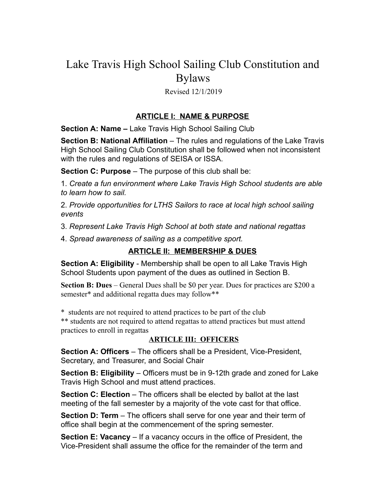# Lake Travis High School Sailing Club Constitution and Bylaws

#### Revised 12/1/2019

## **ARTICLE I: NAME & PURPOSE**

**Section A: Name –** Lake Travis High School Sailing Club

**Section B: National Affiliation** – The rules and regulations of the Lake Travis High School Sailing Club Constitution shall be followed when not inconsistent with the rules and regulations of SEISA or ISSA.

**Section C: Purpose** – The purpose of this club shall be:

1. *Create a fun environment where Lake Travis High School students are able to learn how to sail.* 

2. *Provide opportunities for LTHS Sailors to race at local high school sailing events* 

3. *Represent Lake Travis High School at both state and national regattas* 

4. *Spread awareness of sailing as a competitive sport.* 

## **ARTICLE II: MEMBERSHIP & DUES**

**Section A: Eligibility** - Membership shall be open to all Lake Travis High School Students upon payment of the dues as outlined in Section B.

**Section B: Dues** – General Dues shall be \$0 per year. Dues for practices are \$200 a semester\* and additional regatta dues may follow\*\*

\* students are not required to attend practices to be part of the club

\*\* students are not required to attend regattas to attend practices but must attend practices to enroll in regattas

#### **ARTICLE III: OFFICERS**

**Section A: Officers** – The officers shall be a President, Vice-President, Secretary, and Treasurer, and Social Chair

**Section B: Eligibility** – Officers must be in 9-12th grade and zoned for Lake Travis High School and must attend practices.

**Section C: Election** – The officers shall be elected by ballot at the last meeting of the fall semester by a majority of the vote cast for that office.

**Section D: Term** – The officers shall serve for one year and their term of office shall begin at the commencement of the spring semester.

**Section E: Vacancy** – If a vacancy occurs in the office of President, the Vice-President shall assume the office for the remainder of the term and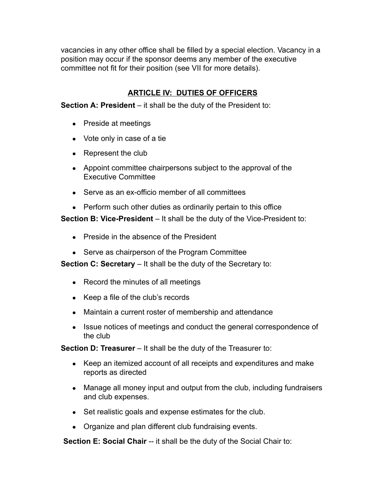vacancies in any other office shall be filled by a special election. Vacancy in a position may occur if the sponsor deems any member of the executive committee not fit for their position (see VII for more details).

# **ARTICLE IV: DUTIES OF OFFICERS**

**Section A: President** – it shall be the duty of the President to:

- Preside at meetings
- Vote only in case of a tie
- Represent the club
- Appoint committee chairpersons subject to the approval of the Executive Committee
- Serve as an ex-officio member of all committees
- Perform such other duties as ordinarily pertain to this office

**Section B: Vice-President** – It shall be the duty of the Vice-President to:

- Preside in the absence of the President
- Serve as chairperson of the Program Committee

**Section C: Secretary** – It shall be the duty of the Secretary to:

- Record the minutes of all meetings
- Keep a file of the club's records
- Maintain a current roster of membership and attendance
- Issue notices of meetings and conduct the general correspondence of the club

**Section D: Treasurer** – It shall be the duty of the Treasurer to:

- Keep an itemized account of all receipts and expenditures and make reports as directed
- Manage all money input and output from the club, including fundraisers and club expenses.
- Set realistic goals and expense estimates for the club.
- Organize and plan different club fundraising events.

**Section E: Social Chair** -- it shall be the duty of the Social Chair to: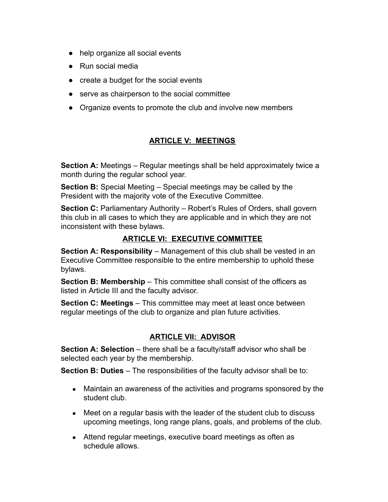- help organize all social events
- Run social media
- create a budget for the social events
- serve as chairperson to the social committee
- Organize events to promote the club and involve new members

# **ARTICLE V: MEETINGS**

**Section A:** Meetings – Regular meetings shall be held approximately twice a month during the regular school year.

**Section B:** Special Meeting – Special meetings may be called by the President with the majority vote of the Executive Committee.

**Section C:** Parliamentary Authority – Robert's Rules of Orders, shall govern this club in all cases to which they are applicable and in which they are not inconsistent with these bylaws.

#### **ARTICLE VI: EXECUTIVE COMMITTEE**

**Section A: Responsibility** – Management of this club shall be vested in an Executive Committee responsible to the entire membership to uphold these bylaws.

**Section B: Membership** – This committee shall consist of the officers as listed in Article III and the faculty advisor.

**Section C: Meetings** – This committee may meet at least once between regular meetings of the club to organize and plan future activities.

## **ARTICLE VII: ADVISOR**

**Section A: Selection** – there shall be a faculty/staff advisor who shall be selected each year by the membership.

**Section B: Duties** – The responsibilities of the faculty advisor shall be to:

- Maintain an awareness of the activities and programs sponsored by the student club.
- Meet on a regular basis with the leader of the student club to discuss upcoming meetings, long range plans, goals, and problems of the club.
- Attend regular meetings, executive board meetings as often as schedule allows.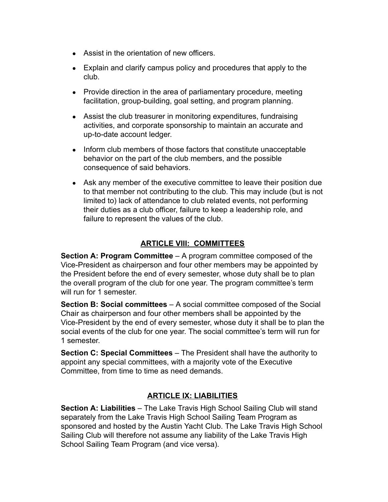- Assist in the orientation of new officers.
- Explain and clarify campus policy and procedures that apply to the club.
- Provide direction in the area of parliamentary procedure, meeting facilitation, group-building, goal setting, and program planning.
- Assist the club treasurer in monitoring expenditures, fundraising activities, and corporate sponsorship to maintain an accurate and up-to-date account ledger.
- Inform club members of those factors that constitute unacceptable behavior on the part of the club members, and the possible consequence of said behaviors.
- Ask any member of the executive committee to leave their position due to that member not contributing to the club. This may include (but is not limited to) lack of attendance to club related events, not performing their duties as a club officer, failure to keep a leadership role, and failure to represent the values of the club.

# **ARTICLE VIII: COMMITTEES**

**Section A: Program Committee** – A program committee composed of the Vice-President as chairperson and four other members may be appointed by the President before the end of every semester, whose duty shall be to plan the overall program of the club for one year. The program committee's term will run for 1 semester.

**Section B: Social committees** – A social committee composed of the Social Chair as chairperson and four other members shall be appointed by the Vice-President by the end of every semester, whose duty it shall be to plan the social events of the club for one year. The social committee's term will run for 1 semester.

**Section C: Special Committees** – The President shall have the authority to appoint any special committees, with a majority vote of the Executive Committee, from time to time as need demands.

## **ARTICLE IX: LIABILITIES**

**Section A: Liabilities** – The Lake Travis High School Sailing Club will stand separately from the Lake Travis High School Sailing Team Program as sponsored and hosted by the Austin Yacht Club. The Lake Travis High School Sailing Club will therefore not assume any liability of the Lake Travis High School Sailing Team Program (and vice versa).